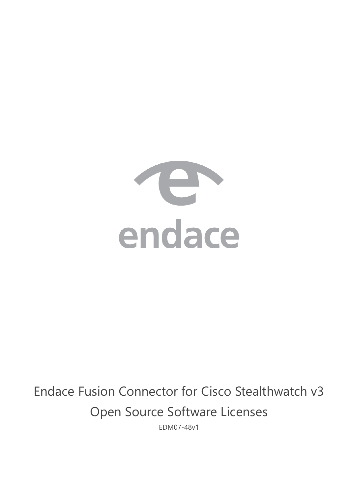

# Endace Fusion Connector for Cisco Stealthwatch v3 Open Source Software Licenses

EDM07-48v1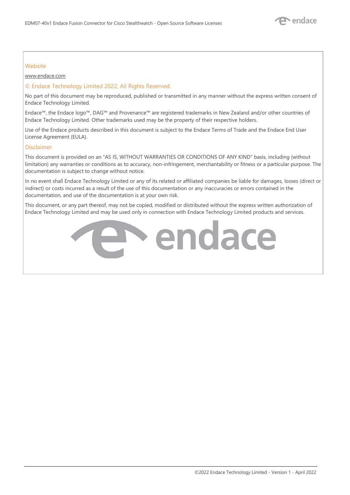#### **Website**

www.endace.com

#### © Endace Technology Limited 2022, All Rights Reserved.

No part of this document may be reproduced, published or transmitted in any manner without the express written consent of Endace Technology Limited.

Endace™, the Endace logo™, DAG™ and Provenance™ are registered trademarks in New Zealand and/or other countries of Endace Technology Limited. Other trademarks used may be the property of their respective holders.

Use of the Endace products described in this document is subject to the Endace Terms of Trade and the Endace End User License Agreement (EULA).

#### Disclaimer

This document is provided on an "AS IS, WITHOUT WARRANTIES OR CONDITIONS OF ANY KIND" basis, including (without limitation) any warranties or conditions as to accuracy, non-infringement, merchantability or fitness or a particular purpose. The documentation is subject to change without notice.

In no event shall Endace Technology Limited or any of its related or affiliated companies be liable for damages, losses (direct or indirect) or costs incurred as a result of the use of this documentation or any inaccuracies or errors contained in the documentation, and use of the documentation is at your own risk.

This document, or any part thereof, may not be copied, modified or distributed without the express written authorization of Endace Technology Limited and may be used only in connection with Endace Technology Limited products and services.

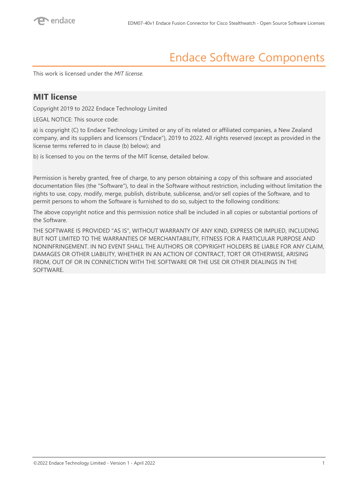### Endace Software Components

This work is licensed under the *MIT license.* 

### **MIT license**

Copyright 2019 to 2022 Endace Technology Limited

LEGAL NOTICE: This source code:

a) is copyright (C) to Endace Technology Limited or any of its related or affiliated companies, a New Zealand company, and its suppliers and licensors ("Endace"), 2019 to 2022. All rights reserved (except as provided in the license terms referred to in clause (b) below); and

b) is licensed to you on the terms of the MIT license, detailed below.

Permission is hereby granted, free of charge, to any person obtaining a copy of this software and associated documentation files (the "Software"), to deal in the Software without restriction, including without limitation the rights to use, copy, modify, merge, publish, distribute, sublicense, and/or sell copies of the Software, and to permit persons to whom the Software is furnished to do so, subject to the following conditions:

The above copyright notice and this permission notice shall be included in all copies or substantial portions of the Software.

THE SOFTWARE IS PROVIDED "AS IS", WITHOUT WARRANTY OF ANY KIND, EXPRESS OR IMPLIED, INCLUDING BUT NOT LIMITED TO THE WARRANTIES OF MERCHANTABILITY, FITNESS FOR A PARTICULAR PURPOSE AND NONINFRINGEMENT. IN NO EVENT SHALL THE AUTHORS OR COPYRIGHT HOLDERS BE LIABLE FOR ANY CLAIM, DAMAGES OR OTHER LIABILITY, WHETHER IN AN ACTION OF CONTRACT, TORT OR OTHERWISE, ARISING FROM, OUT OF OR IN CONNECTION WITH THE SOFTWARE OR THE USE OR OTHER DEALINGS IN THE SOFTWARE.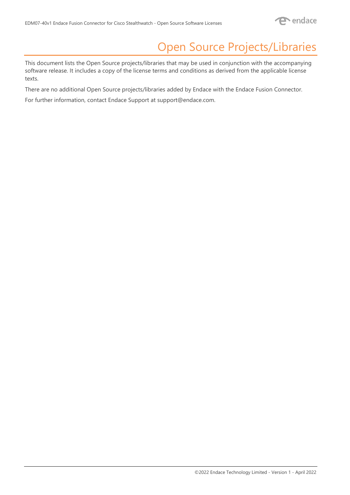### Open Source Projects/Libraries

This document lists the Open Source projects/libraries that may be used in conjunction with the accompanying software release. It includes a copy of the license terms and conditions as derived from the applicable license texts.

There are no additional Open Source projects/libraries added by Endace with the Endace Fusion Connector.

For further information, contact Endace Support at [support@endace.com.](mailto:support@endace.com)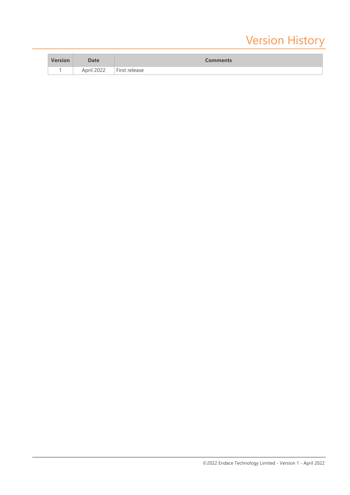## Version History

| <b>Version</b> | <b>Date</b>        | <b>Comments</b> |
|----------------|--------------------|-----------------|
|                | Arril 2022<br>LULL | First release   |